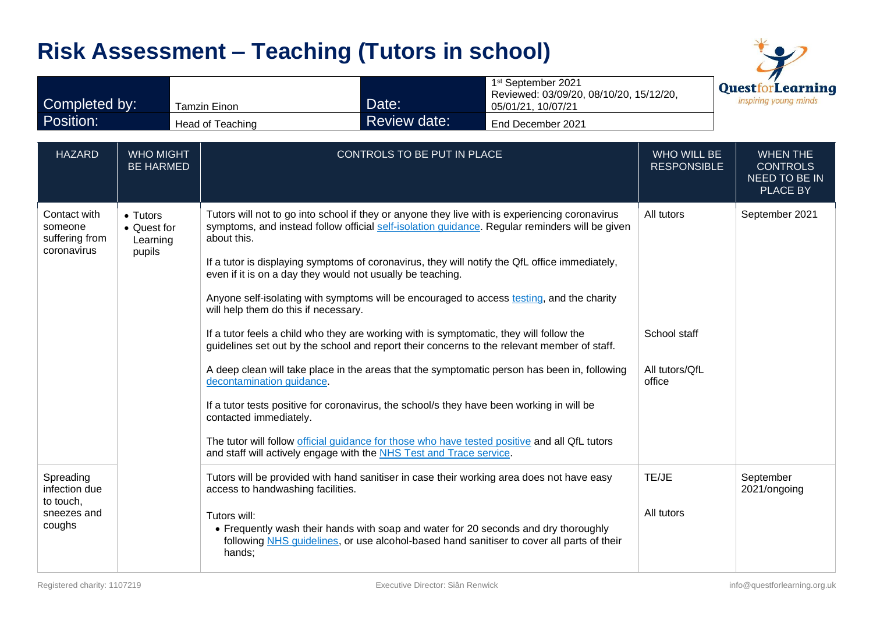|                                                                  |                                               |                                                                                                            | <b>Risk Assessment - Teaching (Tutors in school)</b>                                                                                                                                                                                                                                                                      |                                                                                                                                                                                                                                                                                                                                                                                                                                                                                                                                                                                                                                                                                                 |                                                        |                                                                        |
|------------------------------------------------------------------|-----------------------------------------------|------------------------------------------------------------------------------------------------------------|---------------------------------------------------------------------------------------------------------------------------------------------------------------------------------------------------------------------------------------------------------------------------------------------------------------------------|-------------------------------------------------------------------------------------------------------------------------------------------------------------------------------------------------------------------------------------------------------------------------------------------------------------------------------------------------------------------------------------------------------------------------------------------------------------------------------------------------------------------------------------------------------------------------------------------------------------------------------------------------------------------------------------------------|--------------------------------------------------------|------------------------------------------------------------------------|
| Completed by:                                                    |                                               | <b>Tamzin Einon</b>                                                                                        | Date:                                                                                                                                                                                                                                                                                                                     | 1 <sup>st</sup> September 2021<br>Reviewed: 03/09/20, 08/10/20, 15/12/20,<br>05/01/21, 10/07/21                                                                                                                                                                                                                                                                                                                                                                                                                                                                                                                                                                                                 |                                                        | <b>QuestforLearning</b><br>inspiring young minds                       |
| Position:                                                        |                                               | Head of Teaching                                                                                           | <b>Review date:</b>                                                                                                                                                                                                                                                                                                       | End December 2021                                                                                                                                                                                                                                                                                                                                                                                                                                                                                                                                                                                                                                                                               |                                                        |                                                                        |
| <b>HAZARD</b>                                                    | <b>WHO MIGHT</b><br><b>BE HARMED</b>          |                                                                                                            | CONTROLS TO BE PUT IN PLACE                                                                                                                                                                                                                                                                                               |                                                                                                                                                                                                                                                                                                                                                                                                                                                                                                                                                                                                                                                                                                 | <b>WHO WILL BE</b><br><b>RESPONSIBLE</b>               | <b>WHEN THE</b><br><b>CONTROLS</b><br>NEED TO BE IN<br><b>PLACE BY</b> |
| Contact with<br>someone<br>suffering from<br>coronavirus         | • Tutors<br>• Quest for<br>Learning<br>pupils | about this.<br>will help them do this if necessary.<br>decontamination guidance.<br>contacted immediately. | even if it is on a day they would not usually be teaching.<br>If a tutor feels a child who they are working with is symptomatic, they will follow the<br>If a tutor tests positive for coronavirus, the school/s they have been working in will be<br>and staff will actively engage with the NHS Test and Trace service. | Tutors will not to go into school if they or anyone they live with is experiencing coronavirus<br>symptoms, and instead follow official self-isolation guidance. Regular reminders will be given<br>If a tutor is displaying symptoms of coronavirus, they will notify the QfL office immediately,<br>Anyone self-isolating with symptoms will be encouraged to access testing, and the charity<br>guidelines set out by the school and report their concerns to the relevant member of staff.<br>A deep clean will take place in the areas that the symptomatic person has been in, following<br>The tutor will follow official quidance for those who have tested positive and all QfL tutors | All tutors<br>School staff<br>All tutors/QfL<br>office | September 2021                                                         |
| Spreading<br>infection due<br>to touch,<br>sneezes and<br>coughs |                                               | access to handwashing facilities.<br>Tutors will:<br>hands;                                                |                                                                                                                                                                                                                                                                                                                           | Tutors will be provided with hand sanitiser in case their working area does not have easy<br>• Frequently wash their hands with soap and water for 20 seconds and dry thoroughly<br>following NHS quidelines, or use alcohol-based hand sanitiser to cover all parts of their                                                                                                                                                                                                                                                                                                                                                                                                                   | TE/JE<br>All tutors                                    | September<br>2021/ongoing                                              |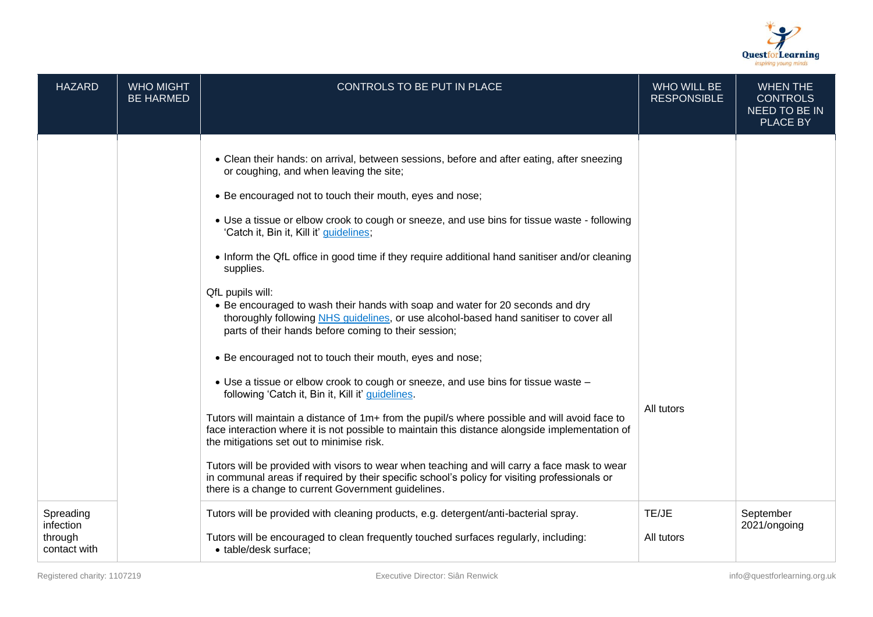

| <b>HAZARD</b>                                     | <b>WHO MIGHT</b><br><b>BE HARMED</b> | CONTROLS TO BE PUT IN PLACE                                                                                                                                                                                                                                                                                                                                                                                                                                                                                                                                                                                                                                                                                       | <b>WHO WILL BE</b><br><b>RESPONSIBLE</b> | <b>WHEN THE</b><br><b>CONTROLS</b><br><b>NEED TO BE IN</b><br><b>PLACE BY</b> |
|---------------------------------------------------|--------------------------------------|-------------------------------------------------------------------------------------------------------------------------------------------------------------------------------------------------------------------------------------------------------------------------------------------------------------------------------------------------------------------------------------------------------------------------------------------------------------------------------------------------------------------------------------------------------------------------------------------------------------------------------------------------------------------------------------------------------------------|------------------------------------------|-------------------------------------------------------------------------------|
|                                                   |                                      | • Clean their hands: on arrival, between sessions, before and after eating, after sneezing<br>or coughing, and when leaving the site;<br>• Be encouraged not to touch their mouth, eyes and nose;<br>• Use a tissue or elbow crook to cough or sneeze, and use bins for tissue waste - following<br>'Catch it, Bin it, Kill it' guidelines;<br>• Inform the QfL office in good time if they require additional hand sanitiser and/or cleaning<br>supplies.<br>QfL pupils will:<br>• Be encouraged to wash their hands with soap and water for 20 seconds and dry<br>thoroughly following NHS quidelines, or use alcohol-based hand sanitiser to cover all<br>parts of their hands before coming to their session; |                                          |                                                                               |
|                                                   |                                      | • Be encouraged not to touch their mouth, eyes and nose;<br>• Use a tissue or elbow crook to cough or sneeze, and use bins for tissue waste -<br>following 'Catch it, Bin it, Kill it' guidelines.<br>Tutors will maintain a distance of 1m+ from the pupil/s where possible and will avoid face to<br>face interaction where it is not possible to maintain this distance alongside implementation of<br>the mitigations set out to minimise risk.<br>Tutors will be provided with visors to wear when teaching and will carry a face mask to wear<br>in communal areas if required by their specific school's policy for visiting professionals or<br>there is a change to current Government guidelines.       | All tutors                               |                                                                               |
| Spreading<br>infection<br>through<br>contact with |                                      | Tutors will be provided with cleaning products, e.g. detergent/anti-bacterial spray.<br>Tutors will be encouraged to clean frequently touched surfaces regularly, including:<br>· table/desk surface;                                                                                                                                                                                                                                                                                                                                                                                                                                                                                                             | TE/JE<br>All tutors                      | September<br>2021/ongoing                                                     |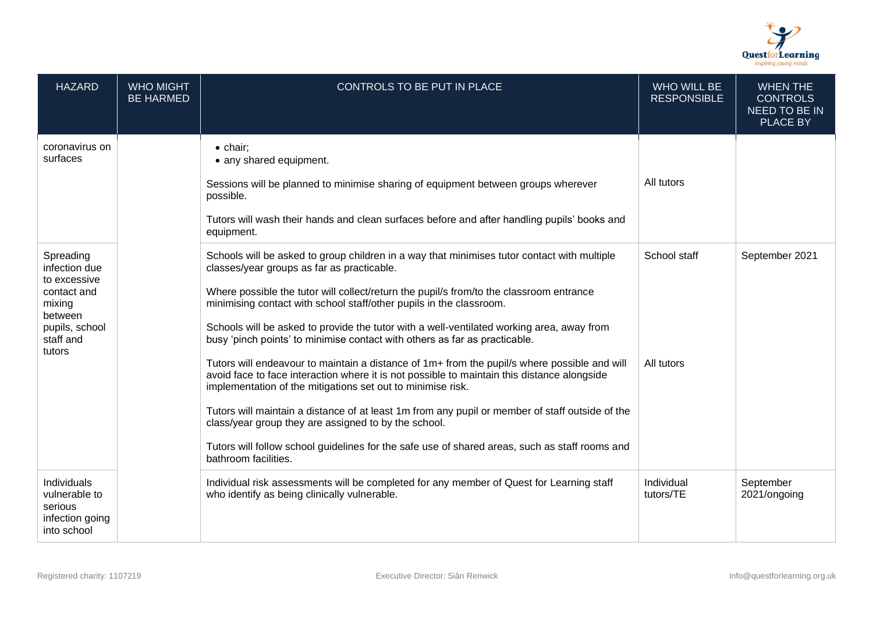

| <b>HAZARD</b>                                                                                                           | <b>WHO MIGHT</b><br><b>BE HARMED</b> | CONTROLS TO BE PUT IN PLACE                                                                                                                                                                                                                                                                                                                                                                                                                                                                                                                                                                                                                                                                                                                                                                                                                                                                                                                                                                                                               | <b>WHO WILL BE</b><br><b>RESPONSIBLE</b> | <b>WHEN THE</b><br><b>CONTROLS</b><br>NEED TO BE IN<br>PLACE BY |
|-------------------------------------------------------------------------------------------------------------------------|--------------------------------------|-------------------------------------------------------------------------------------------------------------------------------------------------------------------------------------------------------------------------------------------------------------------------------------------------------------------------------------------------------------------------------------------------------------------------------------------------------------------------------------------------------------------------------------------------------------------------------------------------------------------------------------------------------------------------------------------------------------------------------------------------------------------------------------------------------------------------------------------------------------------------------------------------------------------------------------------------------------------------------------------------------------------------------------------|------------------------------------------|-----------------------------------------------------------------|
| coronavirus on<br>surfaces                                                                                              |                                      | $\bullet$ chair:<br>• any shared equipment.<br>Sessions will be planned to minimise sharing of equipment between groups wherever<br>possible.<br>Tutors will wash their hands and clean surfaces before and after handling pupils' books and<br>equipment.                                                                                                                                                                                                                                                                                                                                                                                                                                                                                                                                                                                                                                                                                                                                                                                | All tutors                               |                                                                 |
| Spreading<br>infection due<br>to excessive<br>contact and<br>mixing<br>between<br>pupils, school<br>staff and<br>tutors |                                      | Schools will be asked to group children in a way that minimises tutor contact with multiple<br>classes/year groups as far as practicable.<br>Where possible the tutor will collect/return the pupil/s from/to the classroom entrance<br>minimising contact with school staff/other pupils in the classroom.<br>Schools will be asked to provide the tutor with a well-ventilated working area, away from<br>busy 'pinch points' to minimise contact with others as far as practicable.<br>Tutors will endeavour to maintain a distance of 1m+ from the pupil/s where possible and will<br>avoid face to face interaction where it is not possible to maintain this distance alongside<br>implementation of the mitigations set out to minimise risk.<br>Tutors will maintain a distance of at least 1m from any pupil or member of staff outside of the<br>class/year group they are assigned to by the school.<br>Tutors will follow school guidelines for the safe use of shared areas, such as staff rooms and<br>bathroom facilities. | School staff<br>All tutors               | September 2021                                                  |
| Individuals<br>vulnerable to<br>serious<br>infection going<br>into school                                               |                                      | Individual risk assessments will be completed for any member of Quest for Learning staff<br>who identify as being clinically vulnerable.                                                                                                                                                                                                                                                                                                                                                                                                                                                                                                                                                                                                                                                                                                                                                                                                                                                                                                  | Individual<br>tutors/TE                  | September<br>2021/ongoing                                       |